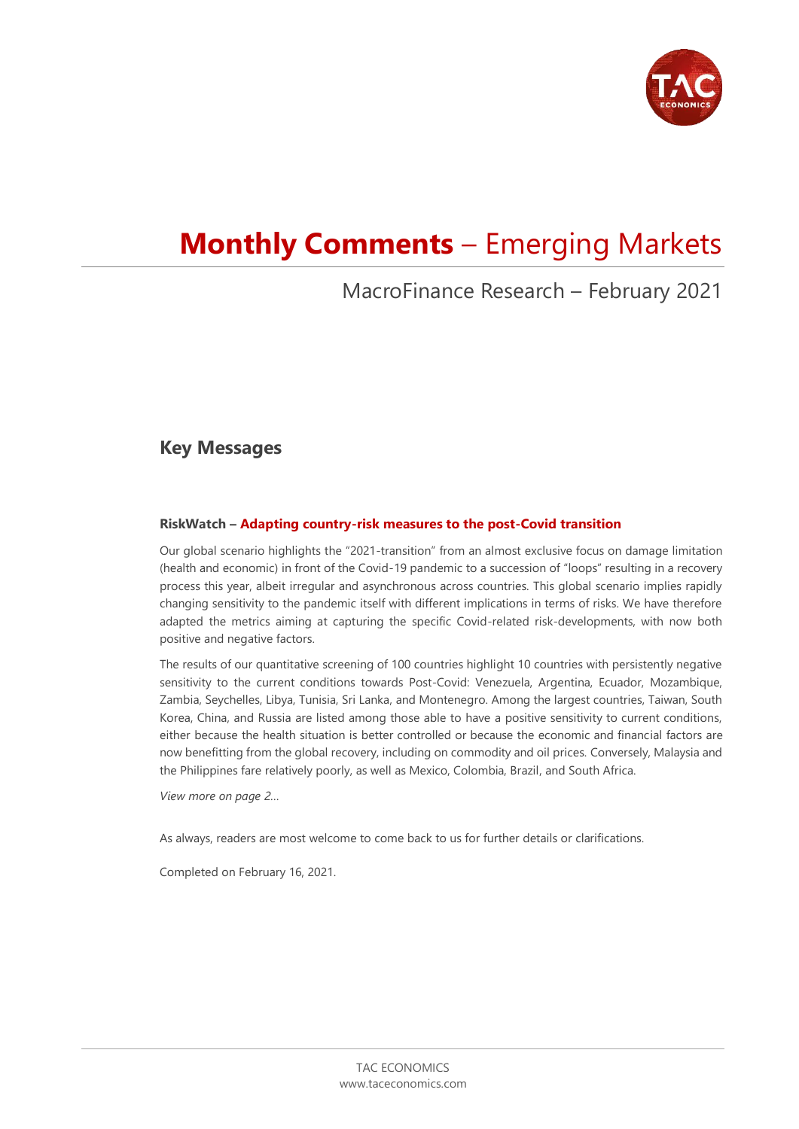

# **Monthly Comments** – Emerging Markets

# MacroFinance Research – February 2021

# **Key Messages**

### **RiskWatch – Adapting country-risk measures to the post-Covid transition**

Our global scenario highlights the "2021-transition" from an almost exclusive focus on damage limitation (health and economic) in front of the Covid-19 pandemic to a succession of "loops" resulting in a recovery process this year, albeit irregular and asynchronous across countries. This global scenario implies rapidly changing sensitivity to the pandemic itself with different implications in terms of risks. We have therefore adapted the metrics aiming at capturing the specific Covid-related risk-developments, with now both positive and negative factors.

The results of our quantitative screening of 100 countries highlight 10 countries with persistently negative sensitivity to the current conditions towards Post-Covid: Venezuela, Argentina, Ecuador, Mozambique, Zambia, Seychelles, Libya, Tunisia, Sri Lanka, and Montenegro. Among the largest countries, Taiwan, South Korea, China, and Russia are listed among those able to have a positive sensitivity to current conditions, either because the health situation is better controlled or because the economic and financial factors are now benefitting from the global recovery, including on commodity and oil prices. Conversely, Malaysia and the Philippines fare relatively poorly, as well as Mexico, Colombia, Brazil, and South Africa.

*View more on page 2…*

As always, readers are most welcome to come back to us for further details or clarifications.

Completed on February 16, 2021.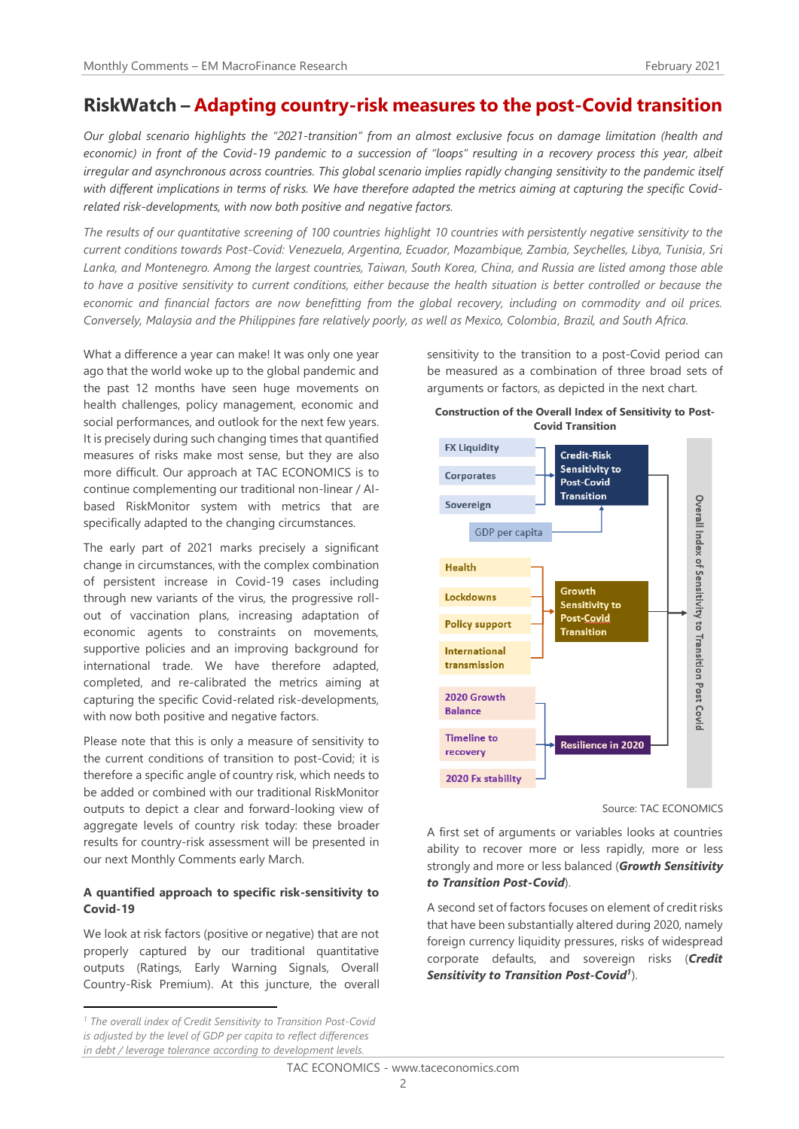# **RiskWatch – Adapting country-risk measures to the post-Covid transition**

*Our global scenario highlights the "2021-transition" from an almost exclusive focus on damage limitation (health and economic) in front of the Covid-19 pandemic to a succession of "loops" resulting in a recovery process this year, albeit irregular and asynchronous across countries. This global scenario implies rapidly changing sensitivity to the pandemic itself with different implications in terms of risks. We have therefore adapted the metrics aiming at capturing the specific Covidrelated risk-developments, with now both positive and negative factors.*

*The results of our quantitative screening of 100 countries highlight 10 countries with persistently negative sensitivity to the current conditions towards Post-Covid: Venezuela, Argentina, Ecuador, Mozambique, Zambia, Seychelles, Libya, Tunisia, Sri Lanka, and Montenegro. Among the largest countries, Taiwan, South Korea, China, and Russia are listed among those able to have a positive sensitivity to current conditions, either because the health situation is better controlled or because the economic and financial factors are now benefitting from the global recovery, including on commodity and oil prices. Conversely, Malaysia and the Philippines fare relatively poorly, as well as Mexico, Colombia, Brazil, and South Africa.*

What a difference a year can make! It was only one year ago that the world woke up to the global pandemic and the past 12 months have seen huge movements on health challenges, policy management, economic and social performances, and outlook for the next few years. It is precisely during such changing times that quantified measures of risks make most sense, but they are also more difficult. Our approach at TAC ECONOMICS is to continue complementing our traditional non-linear / AIbased RiskMonitor system with metrics that are specifically adapted to the changing circumstances.

The early part of 2021 marks precisely a significant change in circumstances, with the complex combination of persistent increase in Covid-19 cases including through new variants of the virus, the progressive rollout of vaccination plans, increasing adaptation of economic agents to constraints on movements, supportive policies and an improving background for international trade. We have therefore adapted, completed, and re-calibrated the metrics aiming at capturing the specific Covid-related risk-developments, with now both positive and negative factors.

Please note that this is only a measure of sensitivity to the current conditions of transition to post-Covid; it is therefore a specific angle of country risk, which needs to be added or combined with our traditional RiskMonitor outputs to depict a clear and forward-looking view of aggregate levels of country risk today: these broader results for country-risk assessment will be presented in our next Monthly Comments early March.

#### **A quantified approach to specific risk-sensitivity to Covid-19**

We look at risk factors (positive or negative) that are not properly captured by our traditional quantitative outputs (Ratings, Early Warning Signals, Overall Country-Risk Premium). At this juncture, the overall sensitivity to the transition to a post-Covid period can be measured as a combination of three broad sets of arguments or factors, as depicted in the next chart.



**Construction of the Overall Index of Sensitivity to Post-Covid Transition**

Source: TAC ECONOMICS

A first set of arguments or variables looks at countries ability to recover more or less rapidly, more or less strongly and more or less balanced (*Growth Sensitivity to Transition Post-Covid*).

A second set of factors focuses on element of credit risks that have been substantially altered during 2020, namely foreign currency liquidity pressures, risks of widespread corporate defaults, and sovereign risks (*Credit Sensitivity to Transition Post-Covid<sup>1</sup>* ).

*<sup>1</sup> The overall index of Credit Sensitivity to Transition Post-Covid is adjusted by the level of GDP per capita to reflect differences in debt / leverage tolerance according to development levels.*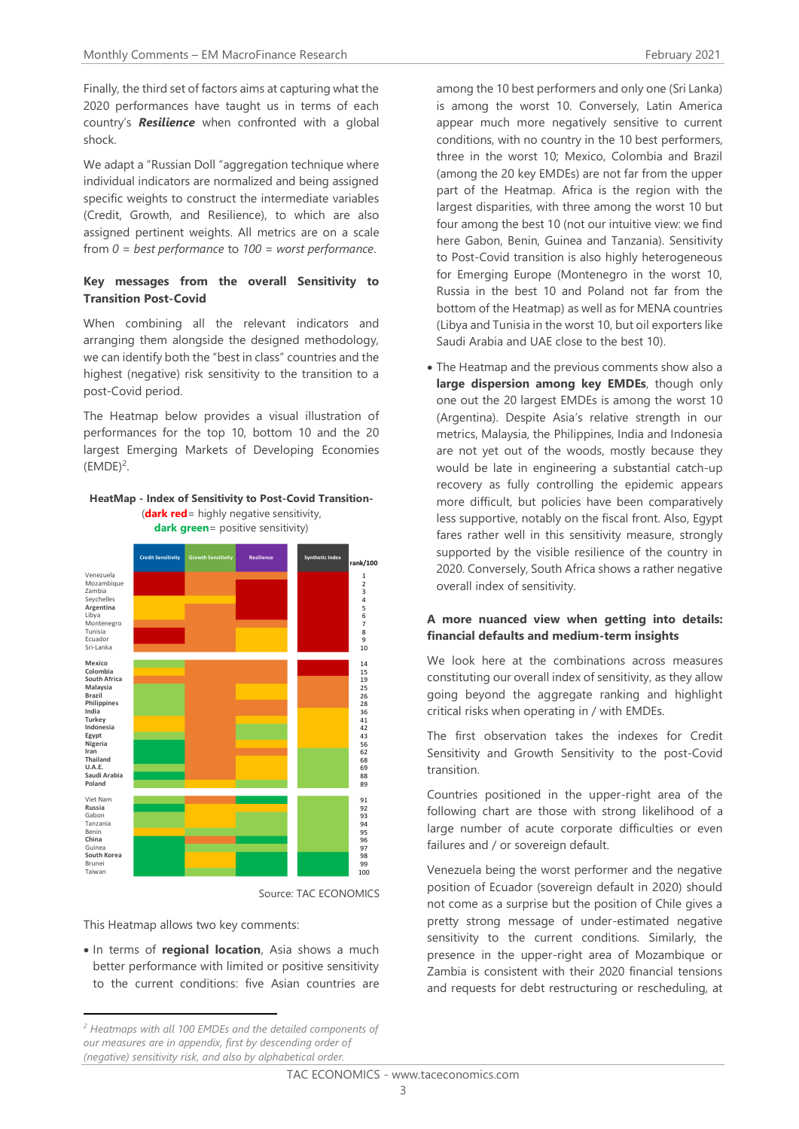Finally, the third set of factors aims at capturing what the 2020 performances have taught us in terms of each country's *Resilience* when confronted with a global shock.

We adapt a "Russian Doll "aggregation technique where individual indicators are normalized and being assigned specific weights to construct the intermediate variables (Credit, Growth, and Resilience), to which are also assigned pertinent weights. All metrics are on a scale from *0 = best performance* to *100 = worst performance*.

### **Key messages from the overall Sensitivity to Transition Post-Covid**

When combining all the relevant indicators and arranging them alongside the designed methodology, we can identify both the "best in class" countries and the highest (negative) risk sensitivity to the transition to a post-Covid period.

The Heatmap below provides a visual illustration of performances for the top 10, bottom 10 and the 20 largest Emerging Markets of Developing Economies  $(EMDE)^2$ .

#### **HeatMap - Index of Sensitivity to Post-Covid Transition-** (**dark red**= highly negative sensitivity, **dark green**= positive sensitivity)



Source: TAC ECONOMICS

This Heatmap allows two key comments:

• In terms of **regional location**, Asia shows a much better performance with limited or positive sensitivity to the current conditions: five Asian countries are among the 10 best performers and only one (Sri Lanka) is among the worst 10. Conversely, Latin America appear much more negatively sensitive to current conditions, with no country in the 10 best performers, three in the worst 10; Mexico, Colombia and Brazil (among the 20 key EMDEs) are not far from the upper part of the Heatmap. Africa is the region with the largest disparities, with three among the worst 10 but four among the best 10 (not our intuitive view: we find here Gabon, Benin, Guinea and Tanzania). Sensitivity to Post-Covid transition is also highly heterogeneous for Emerging Europe (Montenegro in the worst 10, Russia in the best 10 and Poland not far from the bottom of the Heatmap) as well as for MENA countries (Libya and Tunisia in the worst 10, but oil exporters like Saudi Arabia and UAE close to the best 10).

• The Heatmap and the previous comments show also a **large dispersion among key EMDEs**, though only one out the 20 largest EMDEs is among the worst 10 (Argentina). Despite Asia's relative strength in our metrics, Malaysia, the Philippines, India and Indonesia are not yet out of the woods, mostly because they would be late in engineering a substantial catch-up recovery as fully controlling the epidemic appears more difficult, but policies have been comparatively less supportive, notably on the fiscal front. Also, Egypt fares rather well in this sensitivity measure, strongly supported by the visible resilience of the country in 2020. Conversely, South Africa shows a rather negative overall index of sensitivity.

#### **A more nuanced view when getting into details: financial defaults and medium-term insights**

We look here at the combinations across measures constituting our overall index of sensitivity, as they allow going beyond the aggregate ranking and highlight critical risks when operating in / with EMDEs.

The first observation takes the indexes for Credit Sensitivity and Growth Sensitivity to the post-Covid transition.

Countries positioned in the upper-right area of the following chart are those with strong likelihood of a large number of acute corporate difficulties or even failures and / or sovereign default.

Venezuela being the worst performer and the negative position of Ecuador (sovereign default in 2020) should not come as a surprise but the position of Chile gives a pretty strong message of under-estimated negative sensitivity to the current conditions. Similarly, the presence in the upper-right area of Mozambique or Zambia is consistent with their 2020 financial tensions and requests for debt restructuring or rescheduling, at

*<sup>2</sup> Heatmaps with all 100 EMDEs and the detailed components of our measures are in appendix, first by descending order of (negative) sensitivity risk, and also by alphabetical order.*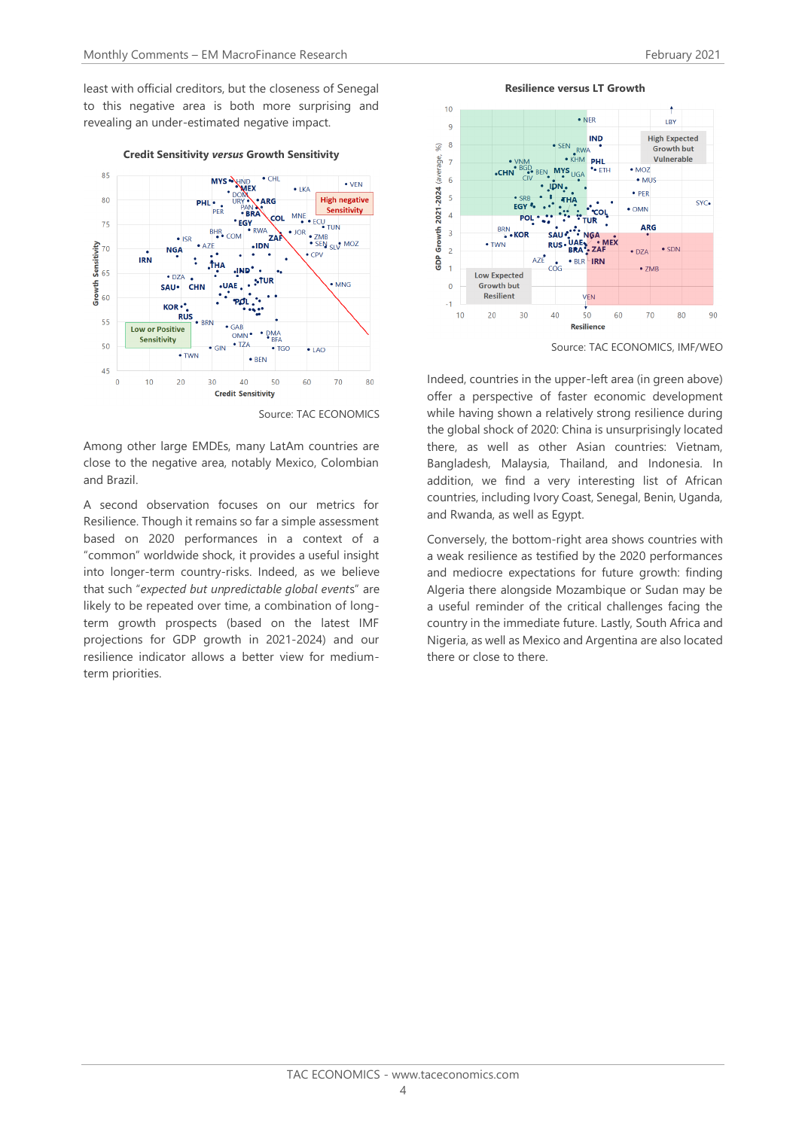least with official creditors, but the closeness of Senegal to this negative area is both more surprising and revealing an under-estimated negative impact.



#### **Credit Sensitivity** *versus* **Growth Sensitivity**

Source: TAC ECONOMICS

Among other large EMDEs, many LatAm countries are close to the negative area, notably Mexico, Colombian and Brazil.

A second observation focuses on our metrics for Resilience. Though it remains so far a simple assessment based on 2020 performances in a context of a "common" worldwide shock, it provides a useful insight into longer-term country-risks. Indeed, as we believe that such "*expected but unpredictable global event*s" are likely to be repeated over time, a combination of longterm growth prospects (based on the latest IMF projections for GDP growth in 2021-2024) and our resilience indicator allows a better view for mediumterm priorities.

**Resilience versus LT Growth**



Source: TAC ECONOMICS, IMF/WEO

Indeed, countries in the upper-left area (in green above) offer a perspective of faster economic development while having shown a relatively strong resilience during the global shock of 2020: China is unsurprisingly located there, as well as other Asian countries: Vietnam, Bangladesh, Malaysia, Thailand, and Indonesia. In addition, we find a very interesting list of African countries, including Ivory Coast, Senegal, Benin, Uganda, and Rwanda, as well as Egypt.

Conversely, the bottom-right area shows countries with a weak resilience as testified by the 2020 performances and mediocre expectations for future growth: finding Algeria there alongside Mozambique or Sudan may be a useful reminder of the critical challenges facing the country in the immediate future. Lastly, South Africa and Nigeria, as well as Mexico and Argentina are also located there or close to there.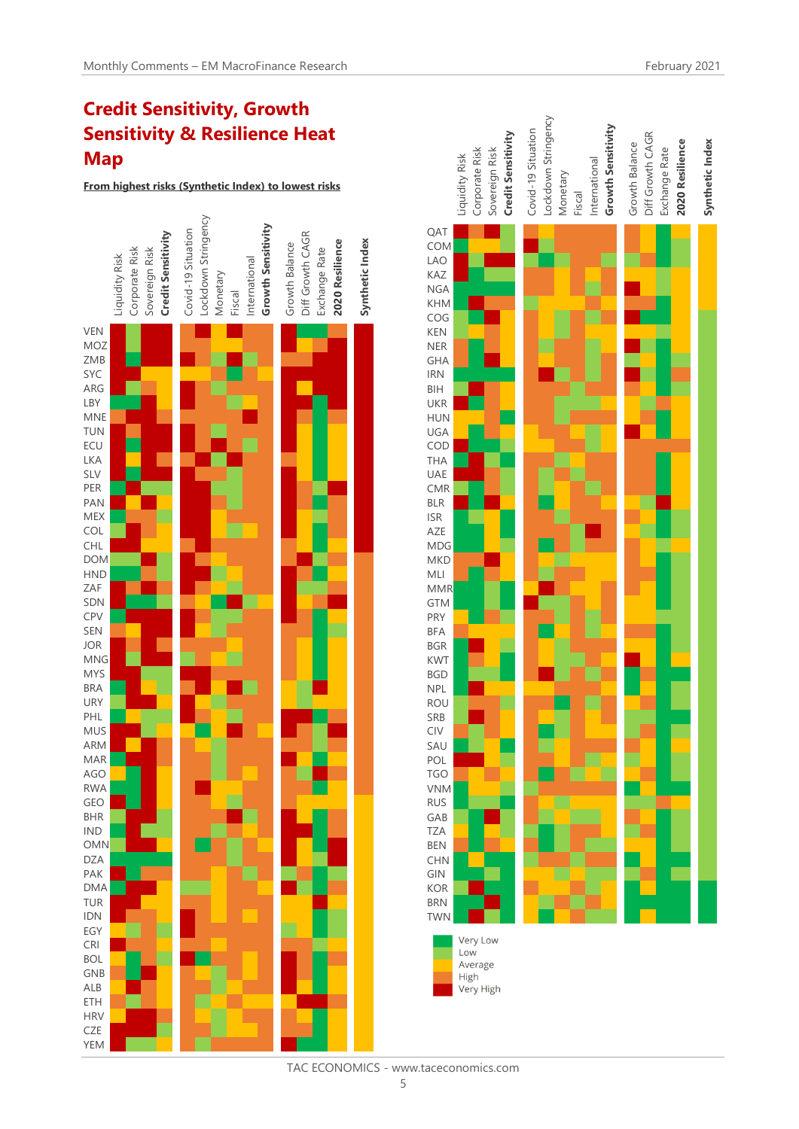# **Credit Sensitivity, Growth Sensitivity & Resilience Heat Map**

**From highest risks (Synthetic Index) to lowest risks**





TAC ECONOMICS - www.taceconomics.com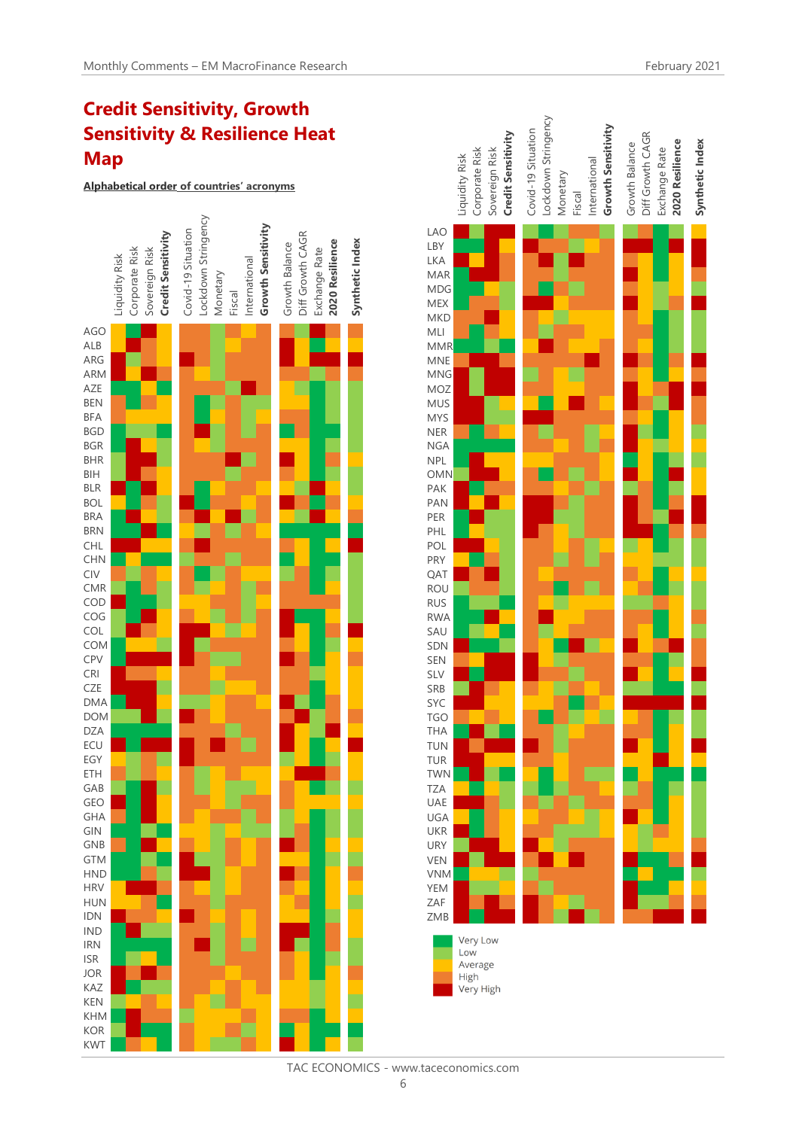# **Credit Sensitivity, Growth Sensitivity & Resilience Heat Map**

**Alphabetical order of countries' acronyms**





TAC ECONOMICS - www.taceconomics.com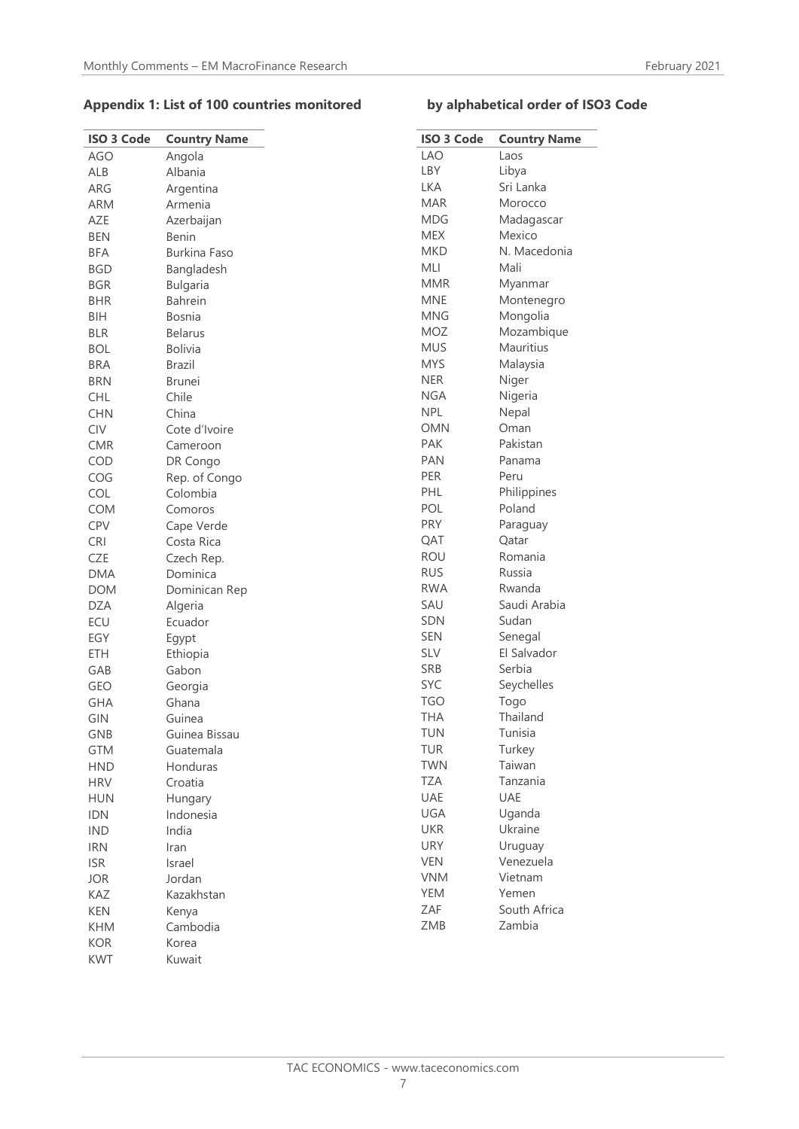## **Appendix 1: List of 100 countries monitored by alphabetical order of ISO3 Code**

| <b>ISO 3 Code</b> | <b>Country Name</b> | <b>ISC</b>      |
|-------------------|---------------------|-----------------|
| <b>AGO</b>        | Angola              | LA              |
| ALB               | Albania             | LB'             |
| ARG               | Argentina           | LK,             |
| <b>ARM</b>        | Armenia             | M/              |
| AZE               | Azerbaijan          | <b>MD</b>       |
| <b>BEN</b>        | Benin               | <b>ME</b>       |
| <b>BFA</b>        | <b>Burkina Faso</b> | Mk              |
| <b>BGD</b>        | Bangladesh          | ML              |
| <b>BGR</b>        | <b>Bulgaria</b>     | Μľ              |
| <b>BHR</b>        | Bahrein             | M               |
| <b>BIH</b>        | <b>Bosnia</b>       | M               |
| <b>BLR</b>        | <b>Belarus</b>      | M <sub>C</sub>  |
| <b>BOL</b>        | <b>Bolivia</b>      | Ml              |
| <b>BRA</b>        | <b>Brazil</b>       | M١              |
| <b>BRN</b>        | <b>Brunei</b>       | <b>NE</b>       |
| <b>CHL</b>        | Chile               | N <sub>G</sub>  |
| <b>CHN</b>        | China               | <b>NP</b>       |
| <b>CIV</b>        | Cote d'Ivoire       | ON              |
| <b>CMR</b>        | Cameroon            | PA              |
| COD               | DR Congo            | PA              |
| COG               | Rep. of Congo       | PEI             |
| COL               | Colombia            | PH              |
| COM               | Comoros             | PO              |
| CPV               | Cape Verde          | <b>PR</b>       |
| <b>CRI</b>        | Costa Rica          | QΑ              |
| <b>CZE</b>        | Czech Rep.          | <b>RC</b>       |
| <b>DMA</b>        | Dominica            | <b>RU</b>       |
| <b>DOM</b>        | Dominican Rep       | <b>RV</b>       |
| <b>DZA</b>        | Algeria             | SA              |
| ECU               | Ecuador             | SD              |
| EGY               | Egypt               | <b>SEI</b>      |
| ETH               | Ethiopia            | SL <sup>N</sup> |
| GAB               | Gabon               | <b>SR</b>       |
| GEO               | Georgia             | <b>SY</b>       |
| <b>GHA</b>        | Ghana               | TG              |
| GIN               | Guinea              | TΗ              |
| GNB               | Guinea Bissau       | TU              |
| <b>GTM</b>        | Guatemala           | TU              |
| <b>HND</b>        | Honduras            | TW              |
| <b>HRV</b>        | Croatia             | TΖ              |
| <b>HUN</b>        | Hungary             | UA              |
| <b>IDN</b>        | Indonesia           | UG              |
| <b>IND</b>        | India               | UK              |
| <b>IRN</b>        | Iran                | UR              |
| <b>ISR</b>        | Israel              | VE              |
| <b>JOR</b>        | Jordan              | VN              |
| KAZ               | Kazakhstan          | YEI             |
| <b>KEN</b>        | Kenya               | ZΑ              |
| <b>KHM</b>        | Cambodia            | ZN              |
| <b>KOR</b>        | Korea               |                 |
| <b>KWT</b>        | Kuwait              |                 |
|                   |                     |                 |

| <b>ISO 3 Code</b> | <b>Country Name</b> |
|-------------------|---------------------|
| LAO               | Laos                |
| LBY               | Libya               |
| LKA               | Sri Lanka           |
| MAR               | Morocco             |
| <b>MDG</b>        | Madagascar          |
| <b>MEX</b>        | Mexico              |
| MKD               | N. Macedonia        |
| MLI               | Mali                |
| <b>MMR</b>        | Myanmar             |
| <b>MNE</b>        | Montenegro          |
| MNG               | Mongolia            |
| MOZ               | Mozambique          |
| <b>MUS</b>        | Mauritius           |
| MYS               | Malaysia            |
| NER               | Niger               |
| NGA               | Nigeria             |
| NPL               | Nepal               |
| <b>OMN</b>        | Oman                |
| PAK               | Pakistan            |
| PAN               | Panama              |
| PER               | Peru                |
| PHL               | Philippines         |
| POL               | Poland              |
| PRY               | Paraguay            |
| QAT               | Qatar               |
| ROU               | Romania             |
| <b>RUS</b>        | Russia              |
| RWA               | Rwanda              |
| SAU               | Saudi Arabia        |
| <b>SDN</b>        | Sudan               |
| <b>SEN</b>        | Senegal             |
| <b>SLV</b>        | El Salvador         |
| <b>SRB</b>        | Serbia              |
| <b>SYC</b>        | Seychelles          |
| TGO               | Togo                |
| THA               | Thailand            |
| TUN               | Tunisia             |
| TUR               | Turkey              |
| <b>TWN</b>        | Taiwan              |
| TZA               | Tanzania            |
| UAE               | UAE                 |
| UGA               | Uganda              |
| <b>UKR</b>        | Ukraine             |
| URY               | Uruguay             |
| <b>VEN</b>        | Venezuela           |
| <b>VNM</b>        | Vietnam             |
| <b>YEM</b>        | Yemen               |
| ZAF               | South Africa        |
| ZMB               | Zambia              |
|                   |                     |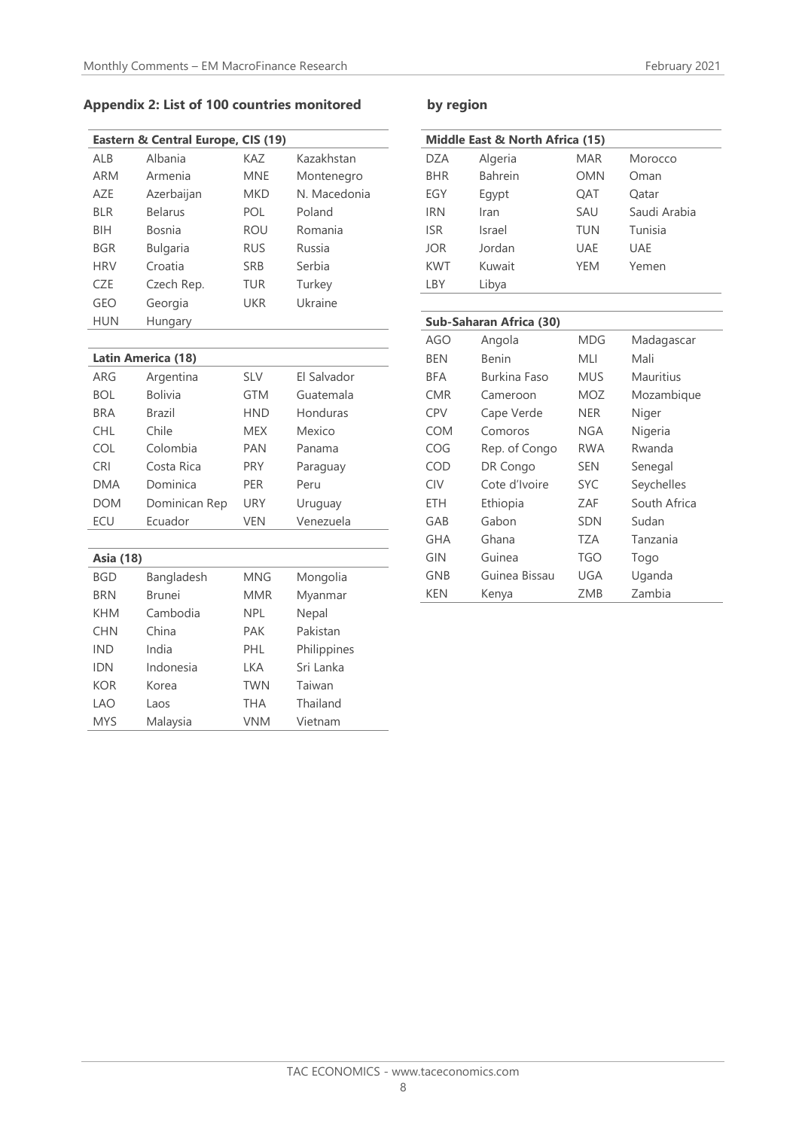# **Appendix 2: List of 100 countries monitored by region**

|            | Eastern & Central Europe, CIS (19) |            |              |
|------------|------------------------------------|------------|--------------|
| ALB        | Albania                            | KAZ        | Kazakhstan   |
| <b>ARM</b> | Armenia                            | <b>MNE</b> | Montenegro   |
| A7F        | Azerbaijan                         | <b>MKD</b> | N. Macedonia |
| <b>BLR</b> | <b>Belarus</b>                     | POL        | Poland       |
| BIH        | Bosnia                             | <b>ROU</b> | Romania      |
| <b>BGR</b> | <b>Bulgaria</b>                    | <b>RUS</b> | Russia       |
| <b>HRV</b> | Croatia                            | <b>SRB</b> | Serbia       |
| CZE        | Czech Rep.                         | <b>TUR</b> | Turkey       |
| GEO        | Georgia                            | <b>UKR</b> | Ukraine      |
| <b>HUN</b> | Hungary                            |            |              |
|            |                                    |            |              |

### **Latin America (18)**

| ARG        | Argentina      | <b>SLV</b> | El Salvador |
|------------|----------------|------------|-------------|
| <b>BOL</b> | <b>Bolivia</b> | <b>GTM</b> | Guatemala   |
| <b>BRA</b> | Brazil         | <b>HND</b> | Honduras    |
| <b>CHL</b> | Chile          | <b>MEX</b> | Mexico      |
| COL        | Colombia       | <b>PAN</b> | Panama      |
| <b>CRI</b> | Costa Rica     | <b>PRY</b> | Paraguay    |
| <b>DMA</b> | Dominica       | <b>PER</b> | Peru        |
| <b>DOM</b> | Dominican Rep  | URY        | Uruguay     |
| ECU        | Ecuador        | <b>VEN</b> | Venezuela   |

| <b>Asia (18)</b> |               |            |             |
|------------------|---------------|------------|-------------|
| <b>BGD</b>       | Bangladesh    | <b>MNG</b> | Mongolia    |
| <b>BRN</b>       | <b>Brunei</b> | <b>MMR</b> | Myanmar     |
| <b>KHM</b>       | Cambodia      | <b>NPL</b> | Nepal       |
| <b>CHN</b>       | China         | PAK        | Pakistan    |
| <b>IND</b>       | India         | PHL        | Philippines |
| IDN              | Indonesia     | LKA        | Sri Lanka   |
| KOR              | Korea         | <b>TWN</b> | Taiwan      |
| I AO             | Laos          | THA        | Thailand    |
| <b>MYS</b>       | Malaysia      | <b>VNM</b> | Vietnam     |

| Middle East & North Africa (15) |                         |            |              |
|---------------------------------|-------------------------|------------|--------------|
| <b>DZA</b>                      | Algeria                 | <b>MAR</b> | Morocco      |
| <b>BHR</b>                      | <b>Bahrein</b>          | <b>OMN</b> | Oman         |
| EGY                             | Egypt                   | QAT        | Qatar        |
| <b>IRN</b>                      | Iran                    | SAU        | Saudi Arabia |
| <b>ISR</b>                      | Israel                  | <b>TUN</b> | Tunisia      |
| <b>JOR</b>                      | Jordan                  | <b>UAE</b> | <b>UAE</b>   |
| <b>KWT</b>                      | Kuwait                  | <b>YEM</b> | Yemen        |
| LBY                             | Libya                   |            |              |
|                                 |                         |            |              |
|                                 | Sub-Saharan Africa (30) |            |              |
| <b>AGO</b>                      | Angola                  | <b>MDG</b> | Madagascar   |
| <b>BEN</b>                      | <b>Benin</b>            | MLI        | Mali         |
| <b>BFA</b>                      | <b>Burkina Faso</b>     | <b>MUS</b> | Mauritius    |
| <b>CMR</b>                      | Cameroon                | <b>MOZ</b> | Mozambique   |
| <b>CPV</b>                      | Cape Verde              | <b>NER</b> | Niger        |
| <b>COM</b>                      | Comoros                 | <b>NGA</b> | Nigeria      |
| COG                             | Rep. of Congo           | <b>RWA</b> | Rwanda       |
| COD                             | DR Congo                | <b>SEN</b> | Senegal      |
| CIV                             | Cote d'Ivoire           | <b>SYC</b> | Seychelles   |
| ETH                             | Ethiopia                | ZAF        | South Africa |
| GAB                             | Gabon                   | <b>SDN</b> | Sudan        |
| <b>GHA</b>                      | Ghana                   | TZA        | Tanzania     |
| GIN                             | Guinea                  | <b>TGO</b> | Togo         |
| <b>GNB</b>                      | Guinea Bissau           | <b>UGA</b> | Uganda       |
| <b>KEN</b>                      | Kenya                   | ZMB        | Zambia       |